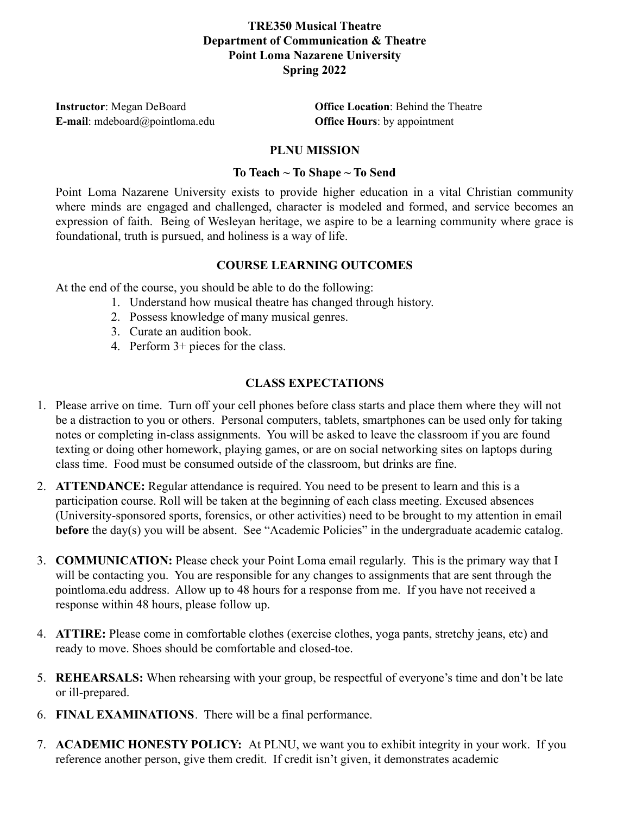# **TRE350 Musical Theatre Department of Communication & Theatre Point Loma Nazarene University Spring 2022**

**Instructor**: Megan DeBoard **Office Location**: Behind the Theatre **E-mail**: mdeboard@pointloma.edu **Office Hours**: by appointment

#### **PLNU MISSION**

## **To Teach ~ To Shape ~ To Send**

Point Loma Nazarene University exists to provide higher education in a vital Christian community where minds are engaged and challenged, character is modeled and formed, and service becomes an expression of faith. Being of Wesleyan heritage, we aspire to be a learning community where grace is foundational, truth is pursued, and holiness is a way of life.

#### **COURSE LEARNING OUTCOMES**

At the end of the course, you should be able to do the following:

- 1. Understand how musical theatre has changed through history.
- 2. Possess knowledge of many musical genres.
- 3. Curate an audition book.
- 4. Perform 3+ pieces for the class.

## **CLASS EXPECTATIONS**

- 1. Please arrive on time. Turn off your cell phones before class starts and place them where they will not be a distraction to you or others. Personal computers, tablets, smartphones can be used only for taking notes or completing in-class assignments. You will be asked to leave the classroom if you are found texting or doing other homework, playing games, or are on social networking sites on laptops during class time. Food must be consumed outside of the classroom, but drinks are fine.
- 2. **ATTENDANCE:** Regular attendance is required. You need to be present to learn and this is a participation course. Roll will be taken at the beginning of each class meeting. Excused absences (University-sponsored sports, forensics, or other activities) need to be brought to my attention in email **before** the day(s) you will be absent. See "Academic Policies" in the undergraduate academic catalog.
- 3. **COMMUNICATION:** Please check your Point Loma email regularly. This is the primary way that I will be contacting you. You are responsible for any changes to assignments that are sent through the pointloma.edu address. Allow up to 48 hours for a response from me. If you have not received a response within 48 hours, please follow up.
- 4. **ATTIRE:** Please come in comfortable clothes (exercise clothes, yoga pants, stretchy jeans, etc) and ready to move. Shoes should be comfortable and closed-toe.
- 5. **REHEARSALS:** When rehearsing with your group, be respectful of everyone's time and don't be late or ill-prepared.
- 6. **FINAL EXAMINATIONS**. There will be a final performance.
- 7. **ACADEMIC HONESTY POLICY:** At PLNU, we want you to exhibit integrity in your work. If you reference another person, give them credit. If credit isn't given, it demonstrates academic